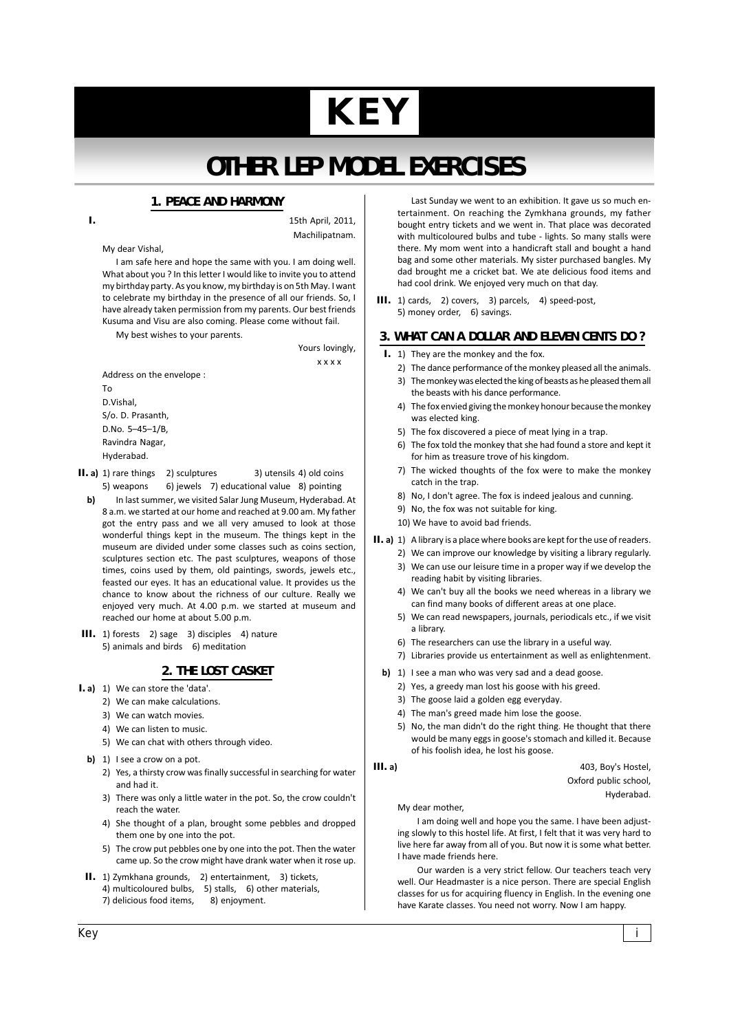# **KEY**

# **OTHER LEP MODEL EXERCISES**

# **1. PEACE AND HARMONY**

 $\overline{L}$ 

15th April, 2011, Machilipatnam.

#### My dear Vishal.

I am safe here and hope the same with you. I am doing well. What about you ? In this letter I would like to invite you to attend my birthday party. As you know, my birthday is on 5th May. I want to celebrate my birthday in the presence of all our friends. So, I have already taken permission from my parents. Our best friends Kusuma and Visu are also coming. Please come without fail.

My best wishes to your parents.

Yours lovingly.  $x x x x$ 

Address on the envelope : D.Vishal, S/o. D. Prasanth,

D.No. 5-45-1/B, Ravindra Nagar, Hyderabad.

Tο<sub></sub>

- II. a) 1) rare things 2) sculptures 3) utensils 4) old coins 5) weapons 6) jewels 7) educational value 8) pointing
- $h$ In last summer, we visited Salar Jung Museum, Hyderabad, At 8 a.m. we started at our home and reached at 9.00 am. My father got the entry pass and we all very amused to look at those wonderful things kept in the museum. The things kept in the museum are divided under some classes such as coins section, sculptures section etc. The past sculptures, weapons of those times, coins used by them, old paintings, swords, jewels etc., feasted our eves. It has an educational value, It provides us the chance to know about the richness of our culture. Really we enjoyed very much. At 4.00 p.m. we started at museum and reached our home at about 5.00 p.m.
- III. 1) forests 2) sage 3) disciples 4) nature 5) animals and birds 6) meditation

# 2. THE LOST CASKET

- I. a) 1) We can store the 'data'.
	- 2) We can make calculations.
		- 3) We can watch movies.
		- 4) We can listen to music.
		- 5) We can chat with others through video.
	- b) 1) I see a crow on a pot.
		- 2) Yes, a thirsty crow was finally successful in searching for water and had it
		- 3) There was only a little water in the pot. So, the crow couldn't reach the water.
		- 4) She thought of a plan, brought some pebbles and dropped them one by one into the pot.
		- 5) The crow put pebbles one by one into the pot. Then the water came up. So the crow might have drank water when it rose up.
- II. 1) Zymkhana grounds, 2) entertainment, 3) tickets, 4) multicoloured bulbs, 5) stalls, 6) other materials, 7) delicious food items, 8) enjoyment.

Last Sunday we went to an exhibition. It gave us so much entertainment. On reaching the Zymkhana grounds, my father hought entry tickets and we went in That place was decorated with multicoloured bulbs and tube - lights. So many stalls were there. My mom went into a handicraft stall and bought a hand bag and some other materials. My sister purchased bangles. My dad brought me a cricket bat. We ate delicious food items and had cool drink. We enjoyed very much on that day.

III. 1) cards, 2) covers, 3) parcels, 4) speed-post, 5) money order, 6) savings.

# 3. WHAT CAN A DOLLAR AND ELEVEN CENTS DO ?

- I. 1) They are the monkey and the fox.
	- 2) The dance performance of the monkey pleased all the animals.
	- 3) The monkey was elected the king of beasts as he pleased them all the beasts with his dance performance.
	- 4) The fox envied giving the monkey honour because the monkey was elected king.
	- 5) The fox discovered a piece of meat lying in a trap.
	- 6) The fox told the monkey that she had found a store and kept it for him as treasure trove of his kingdom.
	- 7) The wicked thoughts of the fox were to make the monkey catch in the trap.
	- 8) No, I don't agree. The fox is indeed jealous and cunning.
	- 9) No, the fox was not suitable for king.
	- 10) We have to avoid bad friends.
- II. a) 1) A library is a place where books are kept for the use of readers.
	- 2) We can improve our knowledge by visiting a library regularly. 3) We can use our leisure time in a proper way if we develop the reading habit by visiting libraries.
	- 4) We can't buy all the books we need whereas in a library we can find many books of different areas at one place.
	- 5) We can read newspapers, journals, periodicals etc., if we visit a librarv.
	- 6) The researchers can use the library in a useful way.
	- 7) Libraries provide us entertainment as well as enlightenment.
	- b) 1) I see a man who was very sad and a dead goose.
		- 2) Yes, a greedy man lost his goose with his greed.
		- 3) The goose laid a golden egg everyday.
		- 4) The man's greed made him lose the goose.
		- 5) No, the man didn't do the right thing. He thought that there would be many eggs in goose's stomach and killed it. Because of his foolish idea, he lost his goose.

#### $III. a)$

403, Boy's Hostel,

Oxford public school,

Hyderabad.

My dear mother,

I am doing well and hope you the same. I have been adjusting slowly to this hostel life. At first, I felt that it was very hard to live here far away from all of you. But now it is some what better. I have made friends here.

Our warden is a very strict fellow. Our teachers teach very well. Our Headmaster is a nice person. There are special English classes for us for acquiring fluency in English. In the evening one have Karate classes. You need not worry. Now I am happy.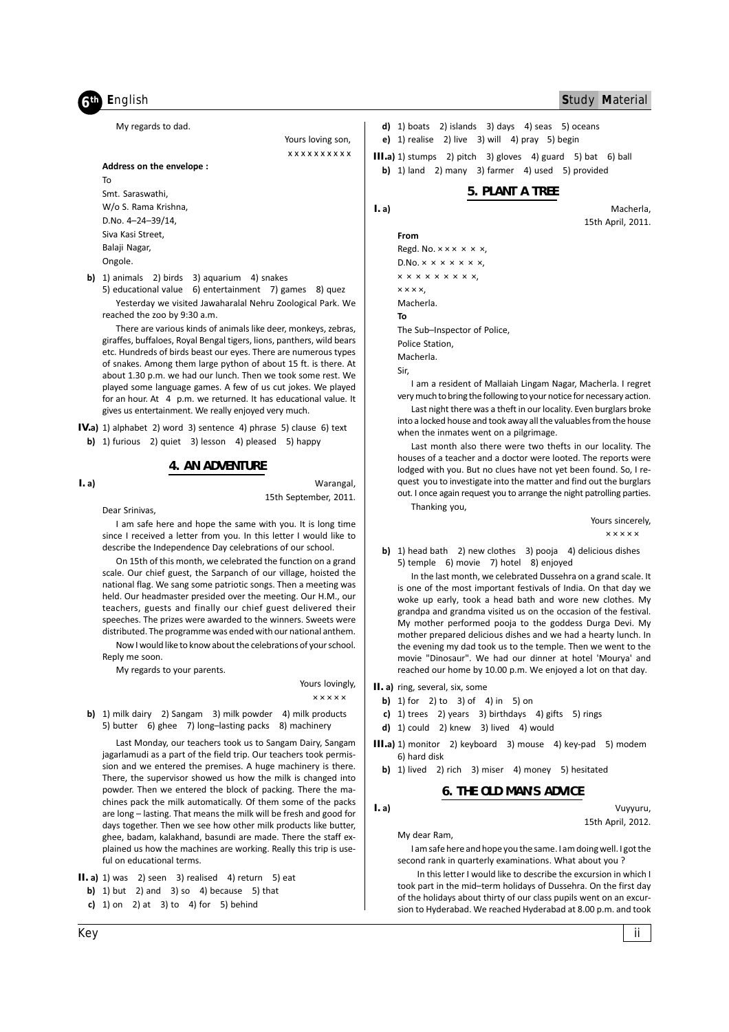# **h** English

**Study Material** 

Macherla,

15th April, 2011.

My regards to dad.

Address on the envelope :

Yours loving son, x x x x x x x x x x

# **To**

Smt. Saraswathi. W/o S. Rama Krishna. D.No. 4-24-39/14, Siva Kasi Street. Balaji Nagar, Ongole.

b) 1) animals 2) birds 3) aquarium 4) snakes 5) educational value 6) entertainment 7) games 8) quez

Yesterday we visited Jawaharalal Nehru Zoological Park. We reached the zoo by 9:30 a.m.

There are various kinds of animals like deer, monkeys, zebras, giraffes, buffaloes, Royal Bengal tigers, lions, panthers, wild bears etc. Hundreds of birds beast our eyes. There are numerous types of snakes. Among them large python of about 15 ft. is there. At about 1.30 p.m. we had our lunch. Then we took some rest. We played some language games. A few of us cut jokes. We played for an hour. At 4 p.m. we returned. It has educational value. It gives us entertainment. We really enjoyed very much.

IV.a) 1) alphabet 2) word 3) sentence 4) phrase 5) clause 6) text

b) 1) furious 2) quiet 3) lesson 4) pleased 5) happy

#### **4. AN ADVENTURE**

 $I. a)$ 

Warangal, 15th September, 2011.

Dear Srinivas.

I am safe here and hope the same with you. It is long time since I received a letter from you. In this letter I would like to describe the Independence Day celebrations of our school.

On 15th of this month, we celebrated the function on a grand scale. Our chief guest, the Sarpanch of our village, hoisted the national flag. We sang some patriotic songs. Then a meeting was held. Our headmaster presided over the meeting. Our H.M., our teachers, guests and finally our chief guest delivered their speeches. The prizes were awarded to the winners. Sweets were distributed. The programme was ended with our national anthem. Now I would like to know about the celebrations of your school.

Reply me soon.

My regards to your parents.

Yours lovingly,  $x \times x \times x$ 

b) 1) milk dairy 2) Sangam 3) milk powder 4) milk products 5) butter 6) ghee 7) long-lasting packs 8) machinery

Last Monday, our teachers took us to Sangam Dairy, Sangam jagarlamudi as a part of the field trip. Our teachers took permission and we entered the premises. A huge machinery is there. There, the supervisor showed us how the milk is changed into powder. Then we entered the block of packing. There the machines pack the milk automatically. Of them some of the packs are long - lasting. That means the milk will be fresh and good for days together. Then we see how other milk products like butter, ghee, badam, kalakhand, basundi are made. There the staff explained us how the machines are working. Really this trip is useful on educational terms.

- II. a) 1) was 2) seen 3) realised 4) return 5) eat b) 1) but 2) and 3) so 4) because 5) that
	- c) 1) on 2) at 3) to 4) for 5) behind

d) 1) boats 2) islands 3) days 4) seas 5) oceans e) 1) realise 2) live 3) will 4) pray 5) begin III.a) 1) stumps 2) pitch 3) gloves 4) guard 5) bat 6) ball

b) 1) land 2) many 3) farmer 4) used 5) provided

# **5. PLANT A TREE**

 $I. a)$ 

From Regd. No.  $x \times x \times x$ ,  $D.No. x x x x x x x,$  $x x x x x x x x x$  $x \times x \times x$ Macherla To The Sub-Inspector of Police, Police Station, Macherla. Sir,

I am a resident of Mallaiah Lingam Nagar, Macherla. I regret very much to bring the following to your notice for necessary action.

Last night there was a theft in our locality. Even burglars broke into a locked house and took away all the valuables from the house when the inmates went on a pilgrimage.

Last month also there were two thefts in our locality. The houses of a teacher and a doctor were looted. The reports were lodged with you. But no clues have not yet been found. So, I request you to investigate into the matter and find out the burglars out. I once again request you to arrange the night patrolling parties. Thanking vou.

Yours sincerely.

**xxxxx** 

b) 1) head bath 2) new clothes 3) pooja 4) delicious dishes 5) temple 6) movie 7) hotel 8) enjoyed

In the last month, we celebrated Dussehra on a grand scale. It is one of the most important festivals of India. On that day we woke up early, took a head bath and wore new clothes. My grandpa and grandma visited us on the occasion of the festival. My mother performed pooja to the goddess Durga Devi. My mother prepared delicious dishes and we had a hearty lunch. In the evening my dad took us to the temple. Then we went to the movie "Dinosaur". We had our dinner at hotel 'Mourva' and reached our home by 10.00 p.m. We enjoyed a lot on that day.

- II. a) ring, several, six, some
	- **b)** 1) for 2) to 3) of 4) in 5) on
	- c) 1) trees 2) years 3) birthdays 4) gifts 5) rings
	- d) 1) could 2) knew 3) lived 4) would
- III.a) 1) monitor 2) keyboard 3) mouse 4) key-pad 5) modem 6) hard disk
	- b) 1) lived 2) rich 3) miser 4) money 5) hesitated

#### **6. THE OLD MAN'S ADVICE**

 $L$ a)

Vuyyuru, 15th April, 2012.

My dear Ram,

I am safe here and hope you the same. I am doing well. I got the second rank in quarterly examinations. What about you?

In this letter I would like to describe the excursion in which I took part in the mid-term holidays of Dussehra. On the first day of the holidays about thirty of our class pupils went on an excursion to Hyderabad. We reached Hyderabad at 8.00 p.m. and took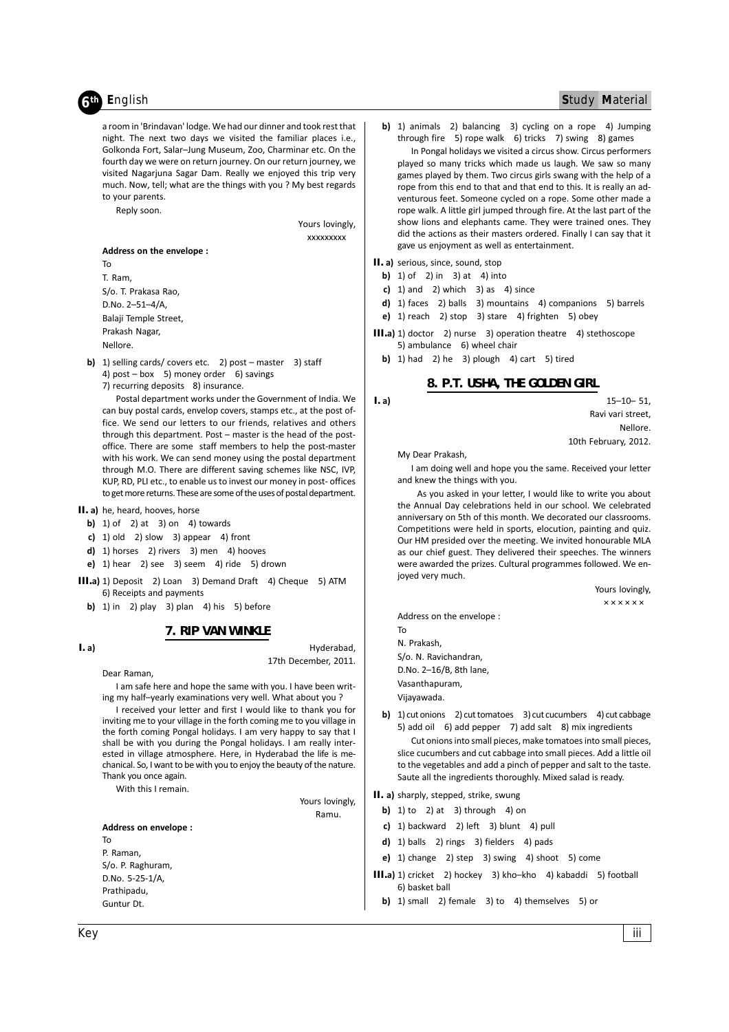# th English

# Study Material

a room in 'Brindavan' lodge. We had our dinner and took rest that night. The next two days we visited the familiar places i.e.. Golkonda Fort, Salar-Jung Museum, Zoo, Charminar etc. On the fourth day we were on return journey. On our return journey, we visited Nagarjuna Sagar Dam. Really we enjoyed this trip very much. Now, tell; what are the things with you ? My best regards to your parents.

Reply soon.

Yours lovingly,

**XXXXXXXXX** 

Address on the envelope: To T. Ram, S/o. T. Prakasa Rao. D.No. 2-51-4/A, Balaji Temple Street, Prakash Nagar

Nellore.

- b) 1) selling cards/ covers etc. 2) post master 3) staff 4) post  $-$  box 5) money order 6) savings
	- 7) recurring deposits 8) insurance.

Postal department works under the Government of India. We can buy postal cards, envelop covers, stamps etc., at the post office. We send our letters to our friends, relatives and others through this department. Post - master is the head of the postoffice. There are some staff members to help the post-master with his work. We can send money using the postal department through M.O. There are different saving schemes like NSC, IVP, KUP, RD, PLI etc., to enable us to invest our money in post- offices to get more returns. These are some of the uses of postal department.

- II. a) he, heard, hooves, horse
- b) 1) of 2) at 3) on 4) towards
- c) 1) old 2) slow 3) appear 4) front
- d) 1) horses 2) rivers 3) men 4) hooves
- e) 1) hear 2) see 3) seem 4) ride 5) drown
- III.a) 1) Deposit 2) Loan 3) Demand Draft 4) Cheque 5) ATM 6) Receipts and payments
	- b) 1) in 2) play 3) plan 4) his 5) before

7. RIP VAN WINKLE

 $I. a)$ 

Hyderabad, 17th December, 2011.

Dear Raman, I am safe here and hope the same with you. I have been writing my half-yearly examinations very well. What about you?

I received your letter and first I would like to thank you for inviting me to your village in the forth coming me to you village in the forth coming Pongal holidays. I am very happy to say that I shall be with you during the Pongal holidays. I am really interested in village atmosphere. Here, in Hyderabad the life is mechanical. So, I want to be with you to enjoy the beauty of the nature. Thank you once again.

With this I remain

Yours lovingly, Ramu.

Address on envelope: To P. Raman, S/o. P. Raghuram, D.No. 5-25-1/A, Prathipadu, Guntur Dt.

- b) 1) animals 2) balancing 3) cycling on a rope 4) Jumping through fire 5) rope walk 6) tricks 7) swing 8) games
- In Pongal holidays we visited a circus show. Circus performers played so many tricks which made us laugh. We saw so many games played by them. Two circus girls swang with the help of a rope from this end to that and that end to this. It is really an adventurous feet. Someone cycled on a rope. Some other made a rope walk. A little girl jumped through fire. At the last part of the show lions and elephants came. They were trained ones. They did the actions as their masters ordered. Finally I can say that it gave us enjoyment as well as entertainment.

II. a) serious, since, sound, stop

- **b)** 1) of 2) in 3) at 4) into
- c) 1) and 2) which  $3$ ) as 4) since
- d) 1) faces 2) balls 3) mountains 4) companions 5) barrels
- e) 1) reach 2) stop 3) stare 4) frighten 5) obey
- III.a) 1) doctor 2) nurse 3) operation theatre 4) stethoscope 5) ambulance 6) wheel chair
	- b) 1) had 2) he 3) plough 4) cart 5) tired

## 8. P.T. USHA, THE GOLDEN GIRL

#### $I. a)$

 $15 - 10 - 51$ Ravi vari street **Nellore** 

10th February, 2012.

My Dear Prakash.

I am doing well and hope you the same. Received your letter and knew the things with you.

As you asked in your letter, I would like to write you about the Annual Day celebrations held in our school. We celebrated anniversary on 5th of this month. We decorated our classrooms. Competitions were held in sports, elocution, painting and quiz. Our HM presided over the meeting. We invited honourable MLA as our chief guest. They delivered their speeches. The winners were awarded the prizes. Cultural programmes followed. We enjoyed very much.

Yours lovingly.

**xxxxxx** 

Address on the envelope :

**To** N. Prakash, S/o. N. Ravichandran, D.No. 2-16/B, 8th lane, Vasanthapuram. Vijavawada.

b) 1) cut onions 2) cut tomatoes 3) cut cucumbers 4) cut cabbage 5) add oil 6) add pepper 7) add salt 8) mix ingredients

Cut onions into small pieces, make tomatoes into small pieces, slice cucumbers and cut cabbage into small pieces. Add a little oil to the vegetables and add a pinch of pepper and salt to the taste. Saute all the ingredients thoroughly. Mixed salad is ready.

#### II. a) sharply, stepped, strike, swung

- b) 1) to 2) at 3) through 4) on
- c) 1) backward 2) left 3) blunt 4) pull
- d) 1) balls 2) rings 3) fielders 4) pads
- e) 1) change 2) step 3) swing 4) shoot 5) come
- III.a) 1) cricket 2) hockey 3) kho-kho 4) kabaddi 5) football 6) basket ball
	- b) 1) small 2) female 3) to 4) themselves 5) or

iii.